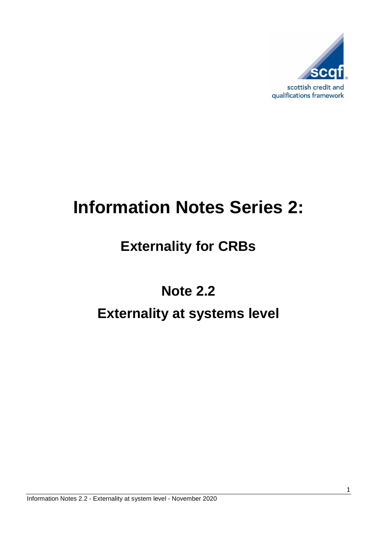

# **Information Notes Series 2:**

## **Externality for CRBs**

## **Note 2.2 Externality at systems level**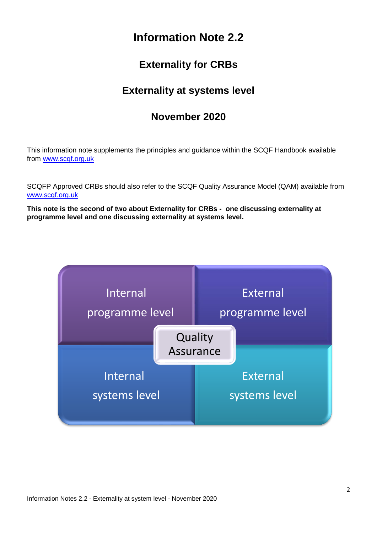## **Information Note 2.2**

### **Externality for CRBs**

### **Externality at systems level**

#### **November 2020**

This information note supplements the principles and guidance within the SCQF Handbook available from [www.scqf.org.uk](http://www.scqf.org.uk/)

SCQFP Approved CRBs should also refer to the SCQF Quality Assurance Model (QAM) available from [www.scqf.org.uk](http://www.scqf.org.uk/)

**This note is the second of two about Externality for CRBs - one discussing externality at programme level and one discussing externality at systems level.**

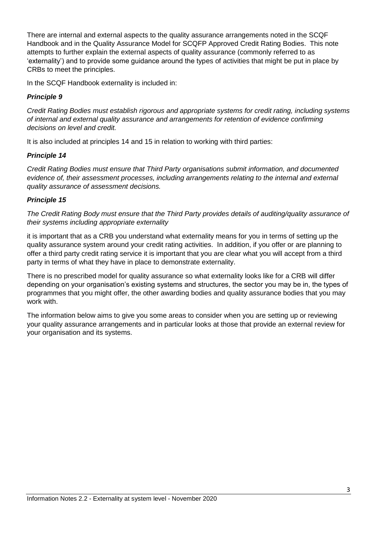There are internal and external aspects to the quality assurance arrangements noted in the SCQF Handbook and in the Quality Assurance Model for SCQFP Approved Credit Rating Bodies. This note attempts to further explain the external aspects of quality assurance (commonly referred to as 'externality') and to provide some guidance around the types of activities that might be put in place by CRBs to meet the principles.

In the SCQF Handbook externality is included in:

#### *Principle 9*

*Credit Rating Bodies must establish rigorous and appropriate systems for credit rating, including systems of internal and external quality assurance and arrangements for retention of evidence confirming decisions on level and credit.*

It is also included at principles 14 and 15 in relation to working with third parties:

#### *Principle 14*

*Credit Rating Bodies must ensure that Third Party organisations submit information, and documented evidence of, their assessment processes, including arrangements relating to the internal and external quality assurance of assessment decisions.*

#### *Principle 15*

*The Credit Rating Body must ensure that the Third Party provides details of auditing/quality assurance of their systems including appropriate externality*

it is important that as a CRB you understand what externality means for you in terms of setting up the quality assurance system around your credit rating activities. In addition, if you offer or are planning to offer a third party credit rating service it is important that you are clear what you will accept from a third party in terms of what they have in place to demonstrate externality.

There is no prescribed model for quality assurance so what externality looks like for a CRB will differ depending on your organisation's existing systems and structures, the sector you may be in, the types of programmes that you might offer, the other awarding bodies and quality assurance bodies that you may work with.

The information below aims to give you some areas to consider when you are setting up or reviewing your quality assurance arrangements and in particular looks at those that provide an external review for your organisation and its systems.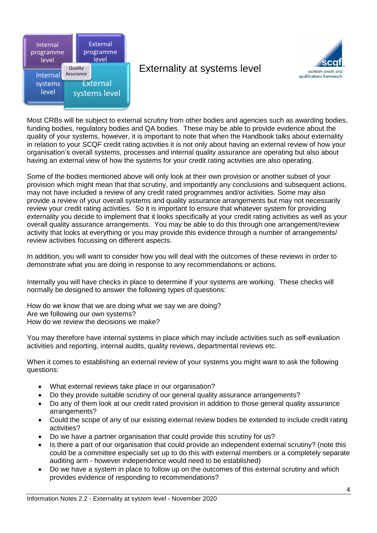

#### Externality at systems level



Most CRBs will be subject to external scrutiny from other bodies and agencies such as awarding bodies, funding bodies, regulatory bodies and QA bodies. These may be able to provide evidence about the quality of your systems, however, it is important to note that when the Handbook talks about externality in relation to your SCQF credit rating activities it is not only about having an external review of how your organisation's overall systems, processes and internal quality assurance are operating but also about having an external view of how the systems for your credit rating activities are also operating.

Some of the bodies mentioned above will only look at their own provision or another subset of your provision which might mean that that scrutiny, and importantly any conclusions and subsequent actions, may not have included a review of any credit rated programmes and/or activities. Some may also provide a review of your overall systems and quality assurance arrangements but may not necessarily review your credit rating activities. So it is important to ensure that whatever system for providing externality you decide to implement that it looks specifically at your credit rating activities as well as your overall quality assurance arrangements. You may be able to do this through one arrangement/review activity that looks at everything or you may provide this evidence through a number of arrangements/ review activities focussing on different aspects.

In addition, you will want to consider how you will deal with the outcomes of these reviews in order to demonstrate what you are doing in response to any recommendations or actions.

Internally you will have checks in place to determine if your systems are working. These checks will normally be designed to answer the following types of questions:

How do we know that we are doing what we say we are doing? Are we following our own systems? How do we review the decisions we make?

You may therefore have internal systems in place which may include activities such as self-evaluation activities and reporting, internal audits, quality reviews, departmental reviews etc.

When it comes to establishing an external review of your systems you might want to ask the following questions:

- What external reviews take place in our organisation?
- Do they provide suitable scrutiny of our general quality assurance arrangements?
- Do any of them look at our credit rated provision in addition to those general quality assurance arrangements?
- Could the scope of any of our existing external review bodies be extended to include credit rating activities?
- Do we have a partner organisation that could provide this scrutiny for us?
- Is there a part of our organisation that could provide an independent external scrutiny? (note this could be a committee especially set up to do this with external members or a completely separate auditing arm - however independence would need to be established)
- Do we have a system in place to follow up on the outcomes of this external scrutiny and which provides evidence of responding to recommendations?